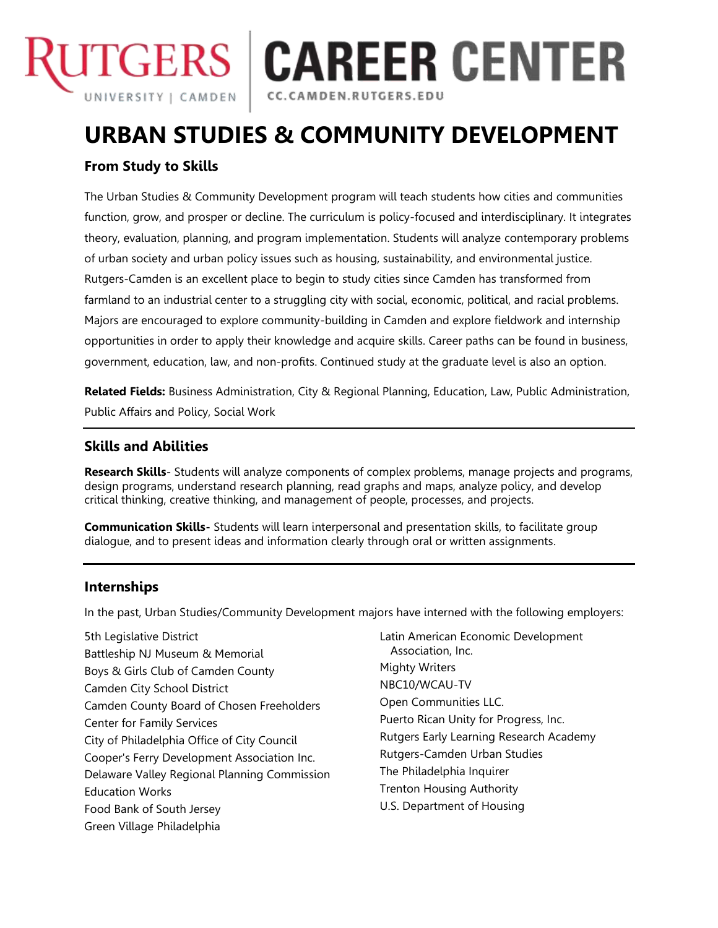

# **ITGERS | CAREER CENTER**

CC.CAMDEN.RUTGERS.EDU

# **URBAN STUDIES & COMMUNITY DEVELOPMENT**

# **From Study to Skills**

The Urban Studies & Community Development program will teach students how cities and communities function, grow, and prosper or decline. The curriculum is policy-focused and interdisciplinary. It integrates theory, evaluation, planning, and program implementation. Students will analyze contemporary problems of urban society and urban policy issues such as housing, sustainability, and environmental justice. Rutgers-Camden is an excellent place to begin to study cities since Camden has transformed from farmland to an industrial center to a struggling city with social, economic, political, and racial problems. Majors are encouraged to explore community-building in Camden and explore fieldwork and internship opportunities in order to apply their knowledge and acquire skills. Career paths can be found in business, government, education, law, and non-profits. Continued study at the graduate level is also an option.

**Related Fields:** Business Administration, City & Regional Planning, Education, Law, Public Administration, Public Affairs and Policy, Social Work

## **Skills and Abilities**

**Research Skills**- Students will analyze components of complex problems, manage projects and programs, design programs, understand research planning, read graphs and maps, analyze policy, and develop critical thinking, creative thinking, and management of people, processes, and projects.

**Communication Skills-** Students will learn interpersonal and presentation skills, to facilitate group dialogue, and to present ideas and information clearly through oral or written assignments.

# **Internships**

In the past, Urban Studies/Community Development majors have interned with the following employers:

- 5th Legislative District Battleship NJ Museum & Memorial Boys & Girls Club of Camden County Camden City School District Camden County Board of Chosen Freeholders Center for Family Services City of Philadelphia Office of City Council Cooper's Ferry Development Association Inc. Delaware Valley Regional Planning Commission Education Works Food Bank of South Jersey Green Village Philadelphia
- Latin American Economic Development Association, Inc. Mighty Writers NBC10/WCAU-TV Open Communities LLC. Puerto Rican Unity for Progress, Inc. Rutgers Early Learning Research Academy Rutgers-Camden Urban Studies The Philadelphia Inquirer Trenton Housing Authority U.S. Department of Housing